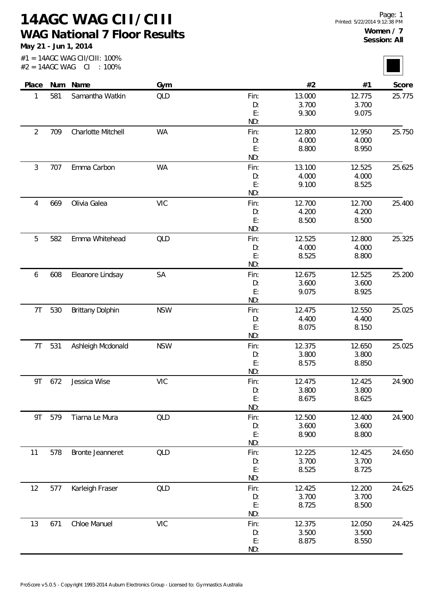**14AGC WAG CII/CIII WAG National 7 Floor Results**

**May 21 - Jun 1, 2014**

| $#2 = 14AGC$ WAG |     | #1 = 14AGC WAG CII/CIII: 100%<br>CL<br>$:100\%$ |            |            |                 |                 |        |
|------------------|-----|-------------------------------------------------|------------|------------|-----------------|-----------------|--------|
| Place            |     | Num Name                                        | Gym        |            | #2              | #1              | Score  |
| 1                | 581 | Samantha Watkin                                 | QLD        | Fin:       | 13.000          | 12.775          | 25.775 |
|                  |     |                                                 |            | D:         | 3.700           | 3.700           |        |
|                  |     |                                                 |            | E:         | 9.300           | 9.075           |        |
|                  |     |                                                 |            | ND:        |                 |                 |        |
| $\overline{2}$   | 709 | Charlotte Mitchell                              | <b>WA</b>  | Fin:       | 12.800          | 12.950          | 25.750 |
|                  |     |                                                 |            | D:         | 4.000           | 4.000           |        |
|                  |     |                                                 |            | E:         | 8.800           | 8.950           |        |
|                  |     |                                                 |            | ND:        |                 |                 |        |
| 3                | 707 | Emma Carbon                                     | <b>WA</b>  | Fin:       | 13.100          | 12.525          | 25.625 |
|                  |     |                                                 |            | D:         | 4.000           | 4.000           |        |
|                  |     |                                                 |            | E:<br>ND:  | 9.100           | 8.525           |        |
|                  | 669 | Olivia Galea                                    | <b>VIC</b> |            |                 | 12.700          | 25.400 |
| 4                |     |                                                 |            | Fin:<br>D: | 12.700<br>4.200 | 4.200           |        |
|                  |     |                                                 |            | E:         | 8.500           | 8.500           |        |
|                  |     |                                                 |            | ND:        |                 |                 |        |
| 5                | 582 | Emma Whitehead                                  | QLD        | Fin:       | 12.525          | 12.800          | 25.325 |
|                  |     |                                                 |            | D:         | 4.000           | 4.000           |        |
|                  |     |                                                 |            | E:         | 8.525           | 8.800           |        |
|                  |     |                                                 |            | ND:        |                 |                 |        |
| 6                | 608 | Eleanore Lindsay                                | <b>SA</b>  | Fin:       | 12.675          | 12.525          | 25.200 |
|                  |     |                                                 |            | D:         | 3.600           | 3.600           |        |
|                  |     |                                                 |            | E:         | 9.075           | 8.925           |        |
|                  |     |                                                 |            | ND:        |                 |                 |        |
| 7T               | 530 | <b>Brittany Dolphin</b>                         | <b>NSW</b> | Fin:       | 12.475          | 12.550          | 25.025 |
|                  |     |                                                 |            | D:         | 4.400           | 4.400           |        |
|                  |     |                                                 |            | E:         | 8.075           | 8.150           |        |
|                  |     |                                                 |            | ND:        |                 |                 |        |
| 7 <sub>T</sub>   | 531 | Ashleigh Mcdonald                               | <b>NSW</b> | Fin:       | 12.375<br>3.800 | 12.650<br>3.800 | 25.025 |
|                  |     |                                                 |            | D:<br>E:   | 8.575           | 8.850           |        |
|                  |     |                                                 |            | ND:        |                 |                 |        |
| 9T               | 672 | Jessica Wise                                    | <b>VIC</b> | Fin:       | 12.475          | 12.425          | 24.900 |
|                  |     |                                                 |            | D:         | 3.800           | 3.800           |        |
|                  |     |                                                 |            | E:         | 8.675           | 8.625           |        |
|                  |     |                                                 |            | ND:        |                 |                 |        |
| 9T               | 579 | Tiarna Le Mura                                  | QLD        | Fin:       | 12.500          | 12.400          | 24.900 |
|                  |     |                                                 |            | D:         | 3.600           | 3.600           |        |
|                  |     |                                                 |            | E:         | 8.900           | 8.800           |        |
|                  |     |                                                 |            | ND:        |                 |                 |        |
| 11               | 578 | Bronte Jeanneret                                | QLD        | Fin:       | 12.225          | 12.425          | 24.650 |
|                  |     |                                                 |            | D:         | 3.700           | 3.700           |        |
|                  |     |                                                 |            | E:         | 8.525           | 8.725           |        |
|                  |     |                                                 |            | ND:        |                 |                 |        |
| 12               | 577 | Karleigh Fraser                                 | QLD        | Fin:       | 12.425          | 12.200          | 24.625 |
|                  |     |                                                 |            | D:<br>E:   | 3.700           | 3.700           |        |
|                  |     |                                                 |            | ND:        | 8.725           | 8.500           |        |
|                  |     | Chloe Manuel                                    | <b>VIC</b> |            | 12.375          | 12.050          | 24.425 |
| 13               | 671 |                                                 |            | Fin:<br>D: | 3.500           | 3.500           |        |
|                  |     |                                                 |            |            |                 |                 |        |

8.875

E: ND:

8.550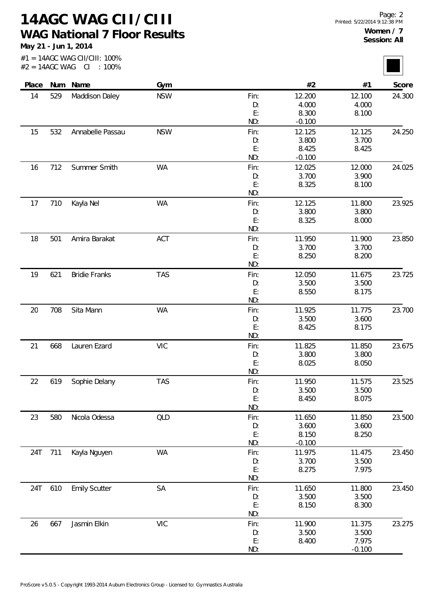**14AGC WAG CII/CIII WAG National 7 Floor Results**

**May 21 - Jun 1, 2014**

#1 = 14AGC WAG CII/CIII: 100%  $#2 = 14AGC WAG Cl : 100\%$ 

| Place | Num | Name                 | Gym        |            | #2              | #1              | Score  |
|-------|-----|----------------------|------------|------------|-----------------|-----------------|--------|
| 14    | 529 | Maddison Daley       | <b>NSW</b> | Fin:       | 12.200          | 12.100          | 24.300 |
|       |     |                      |            | D:         | 4.000           | 4.000           |        |
|       |     |                      |            | E:         | 8.300           | 8.100           |        |
|       |     |                      |            | ND:        | $-0.100$        |                 |        |
| 15    | 532 | Annabelle Passau     | <b>NSW</b> | Fin:       | 12.125          | 12.125          | 24.250 |
|       |     |                      |            | D:         | 3.800           | 3.700           |        |
|       |     |                      |            | E:         | 8.425           | 8.425           |        |
|       |     |                      |            | ND:        | $-0.100$        |                 |        |
| 16    | 712 | Summer Smith         | WA         | Fin:       | 12.025          | 12.000          | 24.025 |
|       |     |                      |            | D:         | 3.700           | 3.900           |        |
|       |     |                      |            | E:         | 8.325           | 8.100           |        |
|       |     |                      |            | ND:        |                 |                 |        |
| 17    | 710 | Kayla Nel            | <b>WA</b>  | Fin:       | 12.125          | 11.800          | 23.925 |
|       |     |                      |            | D:         | 3.800           | 3.800           |        |
|       |     |                      |            | E:         | 8.325           | 8.000           |        |
|       |     |                      |            | ND:        |                 |                 |        |
| 18    | 501 | Amira Barakat        | ACT        | Fin:       | 11.950          | 11.900          | 23.850 |
|       |     |                      |            | D:         | 3.700           | 3.700           |        |
|       |     |                      |            | E:         | 8.250           | 8.200           |        |
|       |     |                      |            | ND:        |                 |                 |        |
| 19    | 621 | <b>Bridie Franks</b> | <b>TAS</b> | Fin:       | 12.050          | 11.675          | 23.725 |
|       |     |                      |            | D:         | 3.500           | 3.500           |        |
|       |     |                      |            | E:         | 8.550           | 8.175           |        |
|       |     |                      |            | ND:        |                 |                 |        |
| 20    | 708 | Sita Mann            | <b>WA</b>  | Fin:       | 11.925          | 11.775          | 23.700 |
|       |     |                      |            | D:         | 3.500           | 3.600           |        |
|       |     |                      |            | E:         | 8.425           | 8.175           |        |
|       |     |                      |            | ND:        |                 |                 |        |
| 21    | 668 | Lauren Ezard         | <b>VIC</b> | Fin:       | 11.825          | 11.850          | 23.675 |
|       |     |                      |            | D:         | 3.800           | 3.800           |        |
|       |     |                      |            | E:<br>ND:  | 8.025           | 8.050           |        |
|       |     |                      |            |            |                 |                 |        |
| 22    | 619 | Sophie Delany        | <b>TAS</b> | Fin:<br>D: | 11.950<br>3.500 | 11.575<br>3.500 | 23.525 |
|       |     |                      |            | E:         | 8.450           | 8.075           |        |
|       |     |                      |            | ND:        |                 |                 |        |
| 23    | 580 | Nicola Odessa        | QLD        | Fin:       | 11.650          | 11.850          | 23.500 |
|       |     |                      |            | D:         | 3.600           | 3.600           |        |
|       |     |                      |            | E:         | 8.150           | 8.250           |        |
|       |     |                      |            | ND:        | $-0.100$        |                 |        |
| 24T   | 711 | Kayla Nguyen         | WA         | Fin:       | 11.975          | 11.475          | 23.450 |
|       |     |                      |            | D:         | 3.700           | 3.500           |        |
|       |     |                      |            | E:         | 8.275           | 7.975           |        |
|       |     |                      |            | ND:        |                 |                 |        |
| 24T   | 610 | <b>Emily Scutter</b> | SA         | Fin:       | 11.650          | 11.800          | 23.450 |
|       |     |                      |            | D:         | 3.500           | 3.500           |        |
|       |     |                      |            | E:         | 8.150           | 8.300           |        |
|       |     |                      |            | ND:        |                 |                 |        |
| 26    | 667 | Jasmin Elkin         | VIC        | Fin:       | 11.900          | 11.375          | 23.275 |
|       |     |                      |            | D:         | 3.500           | 3.500           |        |
|       |     |                      |            | E:         | 8.400           | 7.975           |        |
|       |     |                      |            | ND:        |                 | $-0.100$        |        |